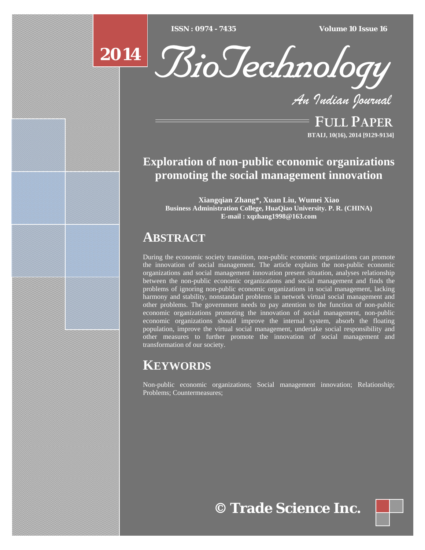$ISSN : 0974 - 7435$ 

*ISSN : 0974 - 7435 Volume 10 Issue 16*



*An Indian Journal*

FULL PAPER **BTAIJ, 10(16), 2014 [9129-9134]**

# **Exploration of non-public economic organizations promoting the social management innovation**

**Xiangqian Zhang\*, Xuan Liu, Wumei Xiao Business Administration College, HuaQiao University. P. R. (CHINA) E-mail : xqzhang1998@163.com** 

# **ABSTRACT**

During the economic society transition, non-public economic organizations can promote the innovation of social management. The article explains the non-public economic organizations and social management innovation present situation, analyses relationship between the non-public economic organizations and social management and finds the problems of ignoring non-public economic organizations in social management, lacking harmony and stability, nonstandard problems in network virtual social management and other problems. The government needs to pay attention to the function of non-public economic organizations promoting the innovation of social management, non-public economic organizations should improve the internal system, absorb the floating population, improve the virtual social management, undertake social responsibility and other measures to further promote the innovation of social management and transformation of our society.

# **KEYWORDS**

Non-public economic organizations; Social management innovation; Relationship; Problems; Countermeasures;

**© Trade Science Inc.**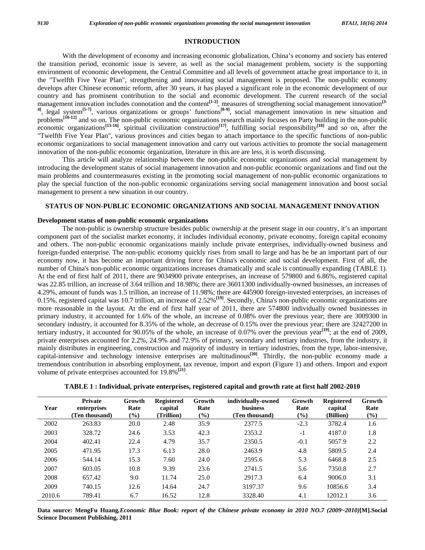### **INTRODUCTION**

 With the development of economy and increasing economic globalization, China's economy and society has entered the transition period, economic issue is severe, as well as the social management problem, society is the supporting environment of economic development, the Central Committee and all levels of government attache great importance to it, in the "Twelfth Five Year Plan", strengthening and innovating social management is proposed. The non-public economy develops after Chinese economic reform, after 30 years, it has played a significant role in the economic development of our country and has prominent contribution to the social and economic development. The current research of the social management innovation includes connotation and the content**[1-2]**, measures of strengthening social management innovation**[3- 4]**, legal system**[5-7]**, various organizations or groups' functions**[8-9]**, social management innovation in new situation and problems<sup>[10-12]</sup> and so on. The non-public economic organizations research mainly focuses on Party building in the non-public economic organizations**[13-16]**, spiritual civilization construction**[17]**, fulfilling social responsibility**[18]** and so on, after the "Twelfth Five Year Plan", various provinces and cities began to attach importance to the specific functions of non-public economic organizations to social management innovation and carry out various activities to promote the social management innovation of the non-public economic organization, literature in this are are less, it is worth discussing.

 This article will analyze relationship between the non-public economic organizations and social management by introducing the development status of social management innovation and non-public economic organizations and find out the main problems and countermeasures existing in the promoting social management of non-public economic organizations to play the special function of the non-public economic organizations serving social management innovation and boost social management to present a new situation in our country.

# **STATUS OF NON-PUBLIC ECONOMIC ORGANIZATIONS AND SOCIAL MANAGEMENT INNOVATION**

#### **Development status of non-public economic organizations**

 The non-public is ownership structure besides public ownership at the present stage in our country, it's an important component part of the socialist market economy, it includes individual economy, private economy, foreign capital economy and others. The non-public economic organizations mainly include private enterprises, individually-owned business and foreign-funded enterprise. The non-public economy quickly rises from small to large and has be be an important part of our economy now, it has become an important driving force for China's economic and social development. First of all, the number of China's non-public economic organizations increases dramatically and scale is continually expanding (TABLE 1). At the end of first half of 2011, there are 9034900 private enterprises, an increase of 579800 and 6.86%, registered capital was 22.85 trillion, an increase of 3.64 trillion and 18.98%; there are 36011300 individually-owned businesses, an increases of 4.29%, amount of funds was 1.5 trillion, an increase of 11.98%; there are 445900 foreign-invested enterprises, an increases of 0.15%, registered capital was 10.7 trillion, an increase of 2.52%**[19]**. Secondly, China's non-public economic organizations are more reasonable in the layout. At the end of first half year of 2011, there are 574800 individually owned businesses in primary industry, it accounted for 1.6% of the whole, an increase of 0.08% over the previous year; there are 3009300 in secondary industry, it accounted for 8.35% of the whole, an decrease of 0.15% over the previous year; there are 32427200 in tertiary industry, it accounted for 90.05% of the whole, an increase of 0.07% over the previous year**[19]**; at the end of 2009, private enterprises accounted for 2.2%, 24.9% and 72.9% of primary, secondary and tertiary industries, from the industry, it mainly distributes in engineering, construction and majority of industry in tertiary industries, from the type, labor-intensive, capital-intensive and technology intensive enterprises are multitudinous**[20]**. Thirdly, the non-public economy made a tremendous contribution in absorbing employment, tax revenue, import and export (Figure 1) and others. Import and export volume of private enterprises accounted for 19.8%**[21]**.

| TABLE 1 : Individual, private enterprises, registered capital and growth rate at first half 2002-2010 |  |
|-------------------------------------------------------------------------------------------------------|--|
|                                                                                                       |  |

| Year   | <b>Private</b><br>enterprises<br>(Ten thousand) | Growth<br>Rate<br>$($ %) | <b>Registered</b><br>capital<br>(Trillion) | Growth<br>Rate<br>$(\%)$ | individually-owned<br><b>business</b><br>(Ten thousand) | Growth<br>Rate<br>$\left(\frac{0}{0}\right)$ | <b>Registered</b><br>capital<br>(Billion) | Growth<br>Rate<br>$(\%)$ |
|--------|-------------------------------------------------|--------------------------|--------------------------------------------|--------------------------|---------------------------------------------------------|----------------------------------------------|-------------------------------------------|--------------------------|
| 2002   | 263.83                                          | 20.0                     | 2.48                                       | 35.9                     | 2377.5                                                  | $-2.3$                                       | 3782.4                                    | 1.6                      |
| 2003   | 328.72                                          | 24.6                     | 3.53                                       | 42.3                     | 2353.2                                                  | $-1$                                         | 4187.0                                    | 1.8                      |
| 2004   | 402.41                                          | 22.4                     | 4.79                                       | 35.7                     | 2350.5                                                  | $-0.1$                                       | 5057.9                                    | 2.2                      |
| 2005   | 471.95                                          | 17.3                     | 6.13                                       | 28.0                     | 2463.9                                                  | 4.8                                          | 5809.5                                    | 2.4                      |
| 2006   | 544.14                                          | 15.3                     | 7.60                                       | 24.0                     | 2595.6                                                  | 5.3                                          | 6468.8                                    | 2.5                      |
| 2007   | 603.05                                          | 10.8                     | 9.39                                       | 23.6                     | 2741.5                                                  | 5.6                                          | 7350.8                                    | 2.7                      |
| 2008   | 657.42                                          | 9.0                      | 11.74                                      | 25.0                     | 2917.3                                                  | 6.4                                          | 9006.0                                    | 3.1                      |
| 2009   | 740.15                                          | 12.6                     | 14.64                                      | 24.7                     | 3197.37                                                 | 9.6                                          | 10856.6                                   | 3.4                      |
| 2010.6 | 789.41                                          | 6.7                      | 16.52                                      | 12.8                     | 3328.40                                                 | 4.1                                          | 12012.1                                   | 3.6                      |

**Data source: MengFu Huang***.Economic Blue Book: report of the Chinese private economy in 2010 NO.7 (2009~2010)***[M].Social Science Document Publishing, 2011**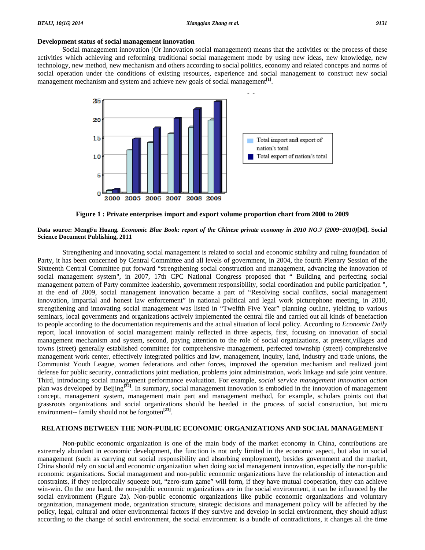#### **Development status of social management innovation**

 Social management innovation (Or Innovation social management) means that the activities or the process of these activities which achieving and reforming traditional social management mode by using new ideas, new knowledge, new technology, new method, new mechanism and others according to social politics, economy and related concepts and norms of social operation under the conditions of existing resources, experience and social management to construct new social management mechanism and system and achieve new goals of social management<sup>[1]</sup>.



**Figure 1 : Private enterprises import and export volume proportion chart from 2000 to 2009** 

### **Data source: MengFu Huang***. Economic Blue Book: report of the Chinese private economy in 2010 NO.7 (2009~2010)***[M]. Social Science Document Publishing, 2011**

 Strengthening and innovating social management is related to social and economic stability and ruling foundation of Party, it has been concerned by Central Committee and all levels of government, in 2004, the fourth Plenary Session of the Sixteenth Central Committee put forward "strengthening social construction and management, advancing the innovation of social management system", in 2007, 17th CPC National Congress proposed that " Building and perfecting social management pattern of Party committee leadership, government responsibility, social coordination and public participation ", at the end of 2009, social management innovation became a part of "Resolving social conflicts, social management innovation, impartial and honest law enforcement" in national political and legal work picturephone meeting, in 2010, strengthening and innovating social management was listed in "Twelfth Five Year" planning outline, yielding to various seminars, local governments and organizations actively implemented the central file and carried out all kinds of benefaction to people according to the documentation requirements and the actual situation of local policy. According to *Economic Daily* report, local innovation of social management mainly reflected in three aspects, first, focusing on innovation of social management mechanism and system, second, paying attention to the role of social organizations, at present,villages and towns (street) generally established committee for comprehensive management, perfected township (street) comprehensive management work center, effectively integrated politics and law, management, inquiry, land, industry and trade unions, the Communist Youth League, women federations and other forces, improved the operation mechanism and realized joint defense for public security, contradictions joint mediation, problems joint administration, work linkage and safe joint venture. Third, introducing social management performance evaluation. For example, s*ocial service management innovation action*  plan was developed by Beijing**[22]**. In summary, social management innovation is embodied in the innovation of management concept, management system, management main part and management method, for example, scholars points out that grassroots organizations and social organizations should be heeded in the process of social construction, but micro environment-- family should not be forgotten**[23]**.

# **RELATIONS BETWEEN THE NON-PUBLIC ECONOMIC ORGANIZATIONS AND SOCIAL MANAGEMENT**

 Non-public economic organization is one of the main body of the market economy in China, contributions are extremely abundant in economic development, the function is not only limited in the economic aspect, but also in social management (such as carrying out social responsibility and absorbing employment), besides government and the market, China should rely on social and economic organization when doing social management innovation, especially the non-public economic organizations. Social management and non-public economic organizations have the relationship of interaction and constraints, if they reciprocally squeeze out, "zero-sum game" will form, if they have mutual cooperation, they can achieve win-win. On the one hand, the non-public economic organizations are in the social environment, it can be influenced by the social environment (Figure 2a). Non-public economic organizations like public economic organizations and voluntary organization, management mode, organization structure, strategic decisions and management policy will be affected by the policy, legal, cultural and other environmental factors if they survive and develop in social environment, they should adjust according to the change of social environment, the social environment is a bundle of contradictions, it changes all the time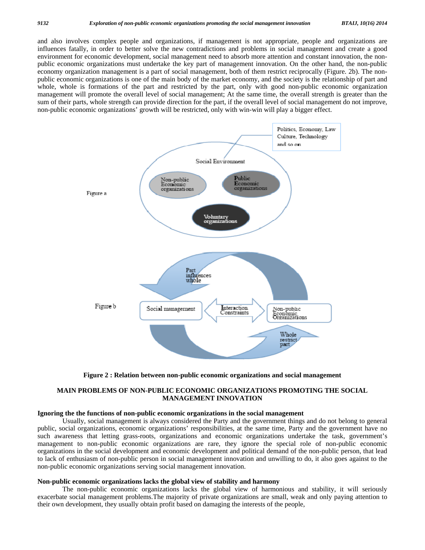and also involves complex people and organizations, if management is not appropriate, people and organizations are influences fatally, in order to better solve the new contradictions and problems in social management and create a good environment for economic development, social management need to absorb more attention and constant innovation, the nonpublic economic organizations must undertake the key part of management innovation. On the other hand, the non-public economy organization management is a part of social management, both of them restrict reciprocally (Figure. 2b). The nonpublic economic organizations is one of the main body of the market economy, and the society is the relationship of part and whole, whole is formations of the part and restricted by the part, only with good non-public economic organization management will promote the overall level of social management; At the same time, the overall strength is greater than the sum of their parts, whole strength can provide direction for the part, if the overall level of social management do not improve, non-public economic organizations' growth will be restricted, only with win-win will play a bigger effect.





# **MAIN PROBLEMS OF NON-PUBLIC ECONOMIC ORGANIZATIONS PROMOTING THE SOCIAL MANAGEMENT INNOVATION**

#### **Ignoring the the functions of non-public economic organizations in the social management**

 Usually, social management is always considered the Party and the government things and do not belong to general public, social organizations, economic organizations' responsibilities, at the same time, Party and the government have no such awareness that letting grass-roots, organizations and economic organizations undertake the task, government's management to non-public economic organizations are rare, they ignore the special role of non-public economic organizations in the social development and economic development and political demand of the non-public person, that lead to lack of enthusiasm of non-public person in social management innovation and unwilling to do, it also goes against to the non-public economic organizations serving social management innovation.

#### **Non-public economic organizations lacks the global view of stability and harmony**

 The non-public economic organizations lacks the global view of harmonious and stability, it will seriously exacerbate social management problems.The majority of private organizations are small, weak and only paying attention to their own development, they usually obtain profit based on damaging the interests of the people,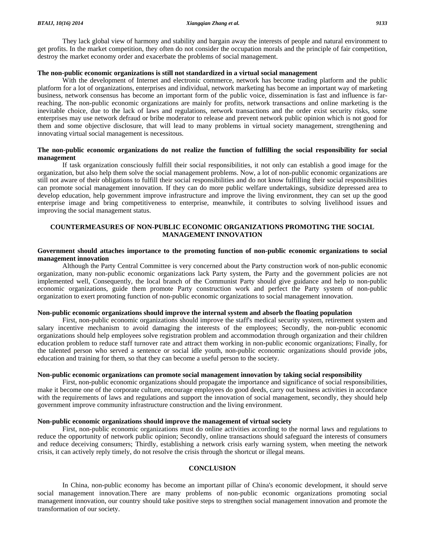They lack global view of harmony and stability and bargain away the interests of people and natural environment to get profits. In the market competition, they often do not consider the occupation morals and the principle of fair competition, destroy the market economy order and exacerbate the problems of social management.

#### **The non-public economic organizations is still not standardized in a virtual social management**

With the development of Internet and electronic commerce, network has become trading platform and the public platform for a lot of organizations, enterprises and individual, network marketing has become an important way of marketing business, network consensus has become an important form of the public voice, dissemination is fast and influence is farreaching. The non-public economic organizations are mainly for profits, network transactions and online marketing is the inevitable choice, due to the lack of laws and regulations, network transactions and the order exist security risks, some enterprises may use network defraud or bribe moderator to release and prevent network public opinion which is not good for them and some objective disclosure, that will lead to many problems in virtual society management, strengthening and innovating virtual social management is necessitous.

# **The non-public economic organizations do not realize the function of fulfilling the social responsibility for social management**

 If task organization consciously fulfill their social responsibilities, it not only can establish a good image for the organization, but also help them solve the social management problems. Now, a lot of non-public economic organizations are still not aware of their obligations to fulfill their social responsibilities and do not know fulfilling their social responsibilities can promote social management innovation. If they can do more public welfare undertakings, subsidize depressed area to develop education, help government improve infrastructure and improve the living environment, they can set up the good enterprise image and bring competitiveness to enterprise, meanwhile, it contributes to solving livelihood issues and improving the social management status.

# **COUNTERMEASURES OF NON-PUBLIC ECONOMIC ORGANIZATIONS PROMOTING THE SOCIAL MANAGEMENT INNOVATION**

### **Government should attaches importance to the promoting function of non-public economic organizations to social management innovation**

 Although the Party Central Committee is very concerned about the Party construction work of non-public economic organization, many non-public economic organizations lack Party system, the Party and the government policies are not implemented well, Consequently, the local branch of the Communist Party should give guidance and help to non-public economic organizations, guide them promote Party construction work and perfect the Party system of non-public organization to exert promoting function of non-public economic organizations to social management innovation.

#### **Non-public economic organizations should improve the internal system and absorb the floating population**

 First, non-public economic organizations should improve the staff's medical security system, retirement system and salary incentive mechanism to avoid damaging the interests of the employees; Secondly, the non-public economic organizations should help employees solve registration problem and accommodation through organization and their children education problem to reduce staff turnover rate and attract them working in non-public economic organizations; Finally, for the talented person who served a sentence or social idle youth, non-public economic organizations should provide jobs, education and training for them, so that they can become a useful person to the society.

### **Non-public economic organizations can promote social management innovation by taking social responsibility**

 First, non-public economic organizations should propagate the importance and significance of social responsibilities, make it become one of the corporate culture, encourage employees do good deeds, carry out business activities in accordance with the requirements of laws and regulations and support the innovation of social management, secondly, they should help government improve community infrastructure construction and the living environment.

### **Non-public economic organizations should improve the management of virtual society**

 First, non-public economic organizations must do online activities according to the normal laws and regulations to reduce the opportunity of network public opinion; Secondly, online transactions should safeguard the interests of consumers and reduce deceiving consumers; Thirdly, establishing a network crisis early warning system, when meeting the network crisis, it can actively reply timely, do not resolve the crisis through the shortcut or illegal means.

# **CONCLUSION**

 In China, non-public economy has become an important pillar of China's economic development, it should serve social management innovation.There are many problems of non-public economic organizations promoting social management innovation, our country should take positive steps to strengthen social management innovation and promote the transformation of our society.